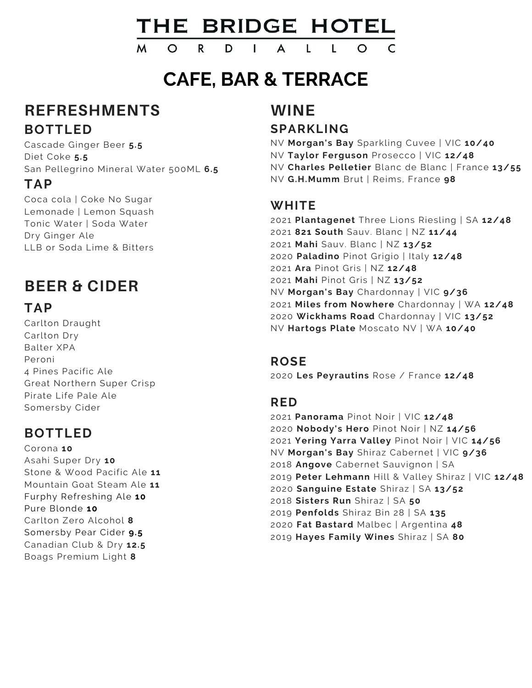THE BRIDGE HOTEL

 $\overline{\mathsf{M}}$  $\Omega$ R D  $\mathbf{I}$  $\blacktriangle$  $\mathbf{I}$ 

# **CAFE, BAR & TERRACE**

## **BOTTLED REFRESHMENTS**

Cascade Ginger Beer **5.5** Diet Coke **5.5** San Pellegrino Mineral Water 500ML **6.5**

## **TAP**

Coca cola | Coke No Sugar Lemonade | Lemon Squash Tonic Water | Soda Water Dry Ginger Ale LLB or Soda Lime & Bitters

# **BEER & CIDER**

## **TAP**

Carlton Draught Carlton Dry Balter XPA Peroni 4 Pines Pacific Ale Great Northern Super Crisp Pirate Life Pale Ale Somersby Cider

## **BOTTLED**

Corona **10** Asahi Super Dry **10** Stone & Wood Pacific Ale **11** Mountain Goat Steam Ale **11** Furphy Refreshing Ale **10** Pure Blonde **10** Carlton Zero Alcohol **8** Somersby Pear Cider **9.5** Canadian Club & Dry **12.5** Boags Premium Light **8**

# **WINE**

## **SPARKLING**

NV **Morgan's Bay** Sparkling Cuvee | VIC **10/40** NV **Taylor Ferguson** Prosecco | VIC **12/48** NV **Charles Pelletier** Blanc de Blanc | France **13/55** NV **G.H.Mumm** Brut | Reims, France **98**

## **WHITE**

 **Plantagenet** Three Lions Riesling | SA **12/48 821 South** Sauv. Blanc | NZ **11/44 Mahi** Sauv. Blanc | NZ **13/52 Paladino** Pinot Grigio | Italy **12/48 Ara** Pinot Gris | NZ **12/48 Mahi** Pinot Gris | NZ **13/52** NV **Morgan's Bay** Chardonnay | VIC **9/36 Miles from Nowhere** Chardonnay | WA **12/48 Wickhams Road** Chardonnay | VIC **13/52** NV **Hartogs Plate** Moscato NV | WA **10/40**

## **ROSE**

2020 **Les Peyrautins** Rose / France **12/48**

## **RED**

 **Panorama** Pinot Noir | VIC **12/48 Nobody's Hero** Pinot Noir | NZ **14/56 Yering Yarra Valley** Pinot Noir | VIC **14/56** NV **Morgan's Bay** Shiraz Cabernet | VIC **9/36 Angove** Cabernet Sauvignon | SA **Peter Lehmann** Hill & Valley Shiraz | VIC **12/48 Sanguine Estate** Shiraz | SA **13/52 Sisters Run** Shiraz | SA **50 Penfolds** Shiraz Bin 28 | SA **135 Fat Bastard** Malbec | Argentina **48 Hayes Family Wines** Shiraz | SA **80**